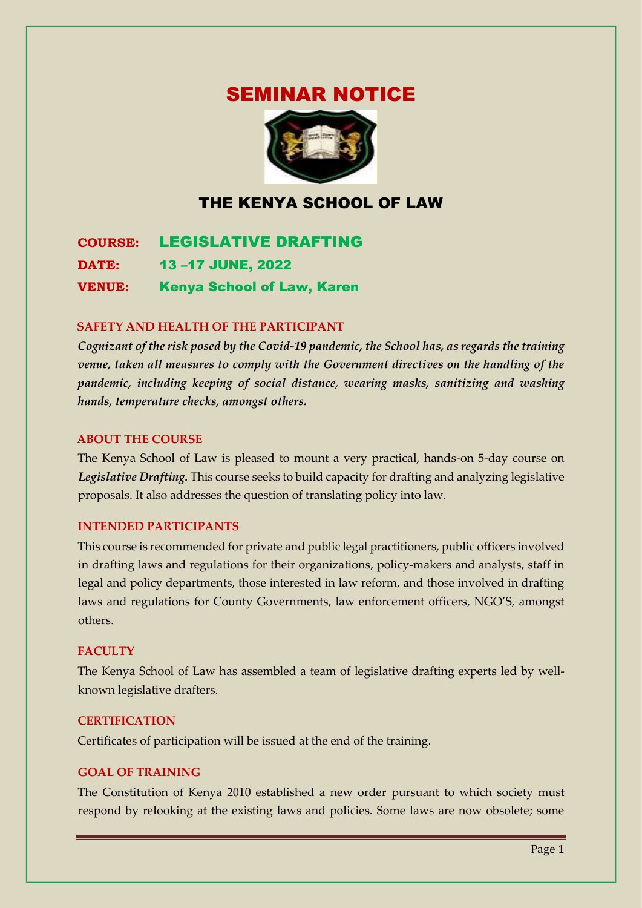# SEMINAR NOTICE



# THE KENYA SCHOOL OF LAW

**COURSE:** LEGISLATIVE DRAFTING **DATE:** 13 –17 JUNE, 2022 **VENUE:** Kenya School of Law, Karen

#### **SAFETY AND HEALTH OF THE PARTICIPANT**

*Cognizant of the risk posed by the Covid-19 pandemic, the School has, as regards the training venue, taken all measures to comply with the Government directives on the handling of the pandemic, including keeping of social distance, wearing masks, sanitizing and washing hands, temperature checks, amongst others.* 

#### **ABOUT THE COURSE**

The Kenya School of Law is pleased to mount a very practical, hands-on 5-day course on *Legislative Drafting.* This course seeks to build capacity for drafting and analyzing legislative proposals. It also addresses the question of translating policy into law.

#### **INTENDED PARTICIPANTS**

This course is recommended for private and public legal practitioners, public officers involved in drafting laws and regulations for their organizations, policy-makers and analysts, staff in legal and policy departments, those interested in law reform, and those involved in drafting laws and regulations for County Governments, law enforcement officers, NGO'S, amongst others.

#### **FACULTY**

The Kenya School of Law has assembled a team of legislative drafting experts led by wellknown legislative drafters.

#### **CERTIFICATION**

Certificates of participation will be issued at the end of the training.

#### **GOAL OF TRAINING**

The Constitution of Kenya 2010 established a new order pursuant to which society must respond by relooking at the existing laws and policies. Some laws are now obsolete; some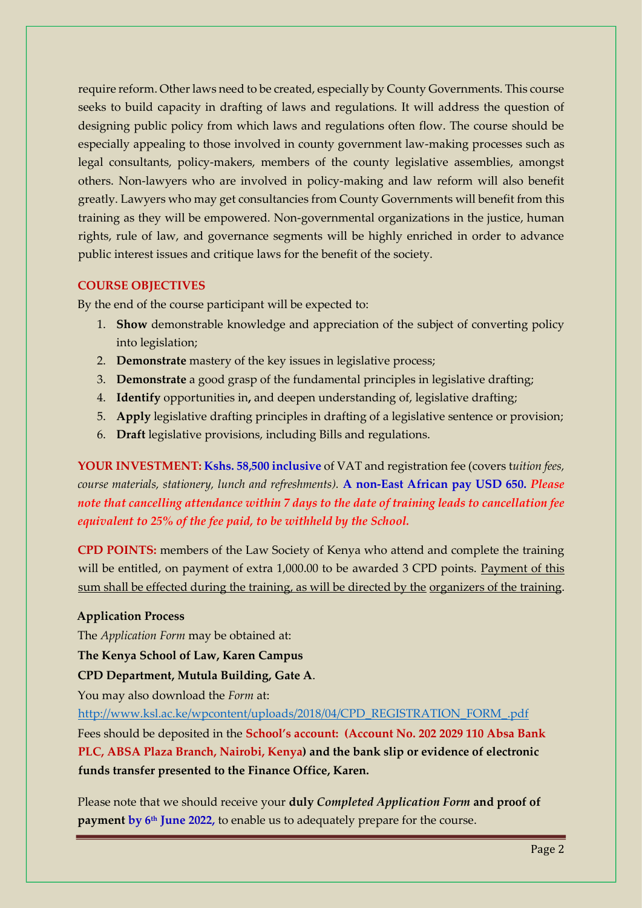require reform. Other laws need to be created, especially by County Governments. This course seeks to build capacity in drafting of laws and regulations. It will address the question of designing public policy from which laws and regulations often flow. The course should be especially appealing to those involved in county government law-making processes such as legal consultants, policy-makers, members of the county legislative assemblies, amongst others. Non-lawyers who are involved in policy-making and law reform will also benefit greatly. Lawyers who may get consultancies from County Governments will benefit from this training as they will be empowered. Non-governmental organizations in the justice, human rights, rule of law, and governance segments will be highly enriched in order to advance public interest issues and critique laws for the benefit of the society.

#### **COURSE OBJECTIVES**

By the end of the course participant will be expected to:

- 1. **Show** demonstrable knowledge and appreciation of the subject of converting policy into legislation;
- 2. **Demonstrate** mastery of the key issues in legislative process;
- 3. **Demonstrate** a good grasp of the fundamental principles in legislative drafting;
- 4. **Identify** opportunities in**,** and deepen understanding of, legislative drafting;
- 5. **Apply** legislative drafting principles in drafting of a legislative sentence or provision;
- 6. **Draft** legislative provisions, including Bills and regulations.

**YOUR INVESTMENT: Kshs. 58,500 inclusive** of VAT and registration fee (covers t*uition fees, course materials, stationery, lunch and refreshments).* **A non-East African pay USD 650.** *Please note that cancelling attendance within 7 days to the date of training leads to cancellation fee equivalent to 25% of the fee paid, to be withheld by the School.*

**CPD POINTS:** members of the Law Society of Kenya who attend and complete the training will be entitled, on payment of extra 1,000.00 to be awarded 3 CPD points. Payment of this sum shall be effected during the training, as will be directed by the organizers of the training.

# **Application Process**

The *Application Form* may be obtained at:

# **The Kenya School of Law, Karen Campus**

**CPD Department, Mutula Building, Gate A**.

You may also download the *Form* at:

[http://www.ksl.ac.ke/wpcontent/uploads/2018/04/CPD\\_REGISTRATION\\_FORM\\_.pdf](http://www.ksl.ac.ke/wp-content/uploads/2018/04/CPD_REGISTRATION_FORM_.pdf)

Fees should be deposited in the **School's account: (Account No. 202 2029 110 Absa Bank PLC, ABSA Plaza Branch, Nairobi, Kenya) and the bank slip or evidence of electronic funds transfer presented to the Finance Office, Karen.** 

Please note that we should receive your **duly** *Completed Application Form* **and proof of payment by 6<sup>th</sup> June 2022,** to enable us to adequately prepare for the course.